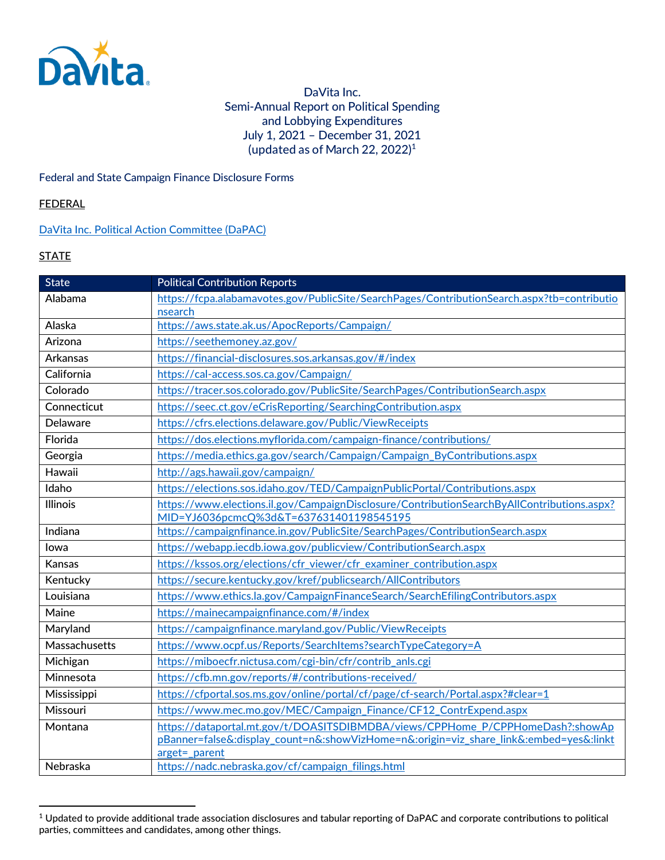

DaVita Inc. Semi-Annual Report on Political Spending and Lobbying Expenditures July 1, 2021 – December 31, 2021 (updated as of March 22, 2022)[1](#page-0-0)

Federal and State Campaign Finance Disclosure Forms

### **FEDERAL**

### [DaVita Inc. Political Action Committee \(DaPAC\)](https://www.fec.gov/data/committee/C00340943/?tab=filings)

### **STATE**

| <b>State</b>    | <b>Political Contribution Reports</b>                                                                                                 |
|-----------------|---------------------------------------------------------------------------------------------------------------------------------------|
| Alabama         | https://fcpa.alabamavotes.gov/PublicSite/SearchPages/ContributionSearch.aspx?tb=contributio                                           |
|                 | nsearch                                                                                                                               |
| Alaska          | https://aws.state.ak.us/ApocReports/Campaign/                                                                                         |
| Arizona         | https://seethemoney.az.gov/                                                                                                           |
| Arkansas        | https://financial-disclosures.sos.arkansas.gov/#/index                                                                                |
| California      | https://cal-access.sos.ca.gov/Campaign/                                                                                               |
| Colorado        | https://tracer.sos.colorado.gov/PublicSite/SearchPages/ContributionSearch.aspx                                                        |
| Connecticut     | https://seec.ct.gov/eCrisReporting/SearchingContribution.aspx                                                                         |
| <b>Delaware</b> | https://cfrs.elections.delaware.gov/Public/ViewReceipts                                                                               |
| Florida         | https://dos.elections.myflorida.com/campaign-finance/contributions/                                                                   |
| Georgia         | https://media.ethics.ga.gov/search/Campaign/Campaign ByContributions.aspx                                                             |
| Hawaii          | http://ags.hawaii.gov/campaign/                                                                                                       |
| Idaho           | https://elections.sos.idaho.gov/TED/CampaignPublicPortal/Contributions.aspx                                                           |
| Illinois        | https://www.elections.il.gov/CampaignDisclosure/ContributionSearchByAllContributions.aspx?<br>MID=YJ6036pcmcQ%3d&T=637631401198545195 |
| Indiana         | https://campaignfinance.in.gov/PublicSite/SearchPages/ContributionSearch.aspx                                                         |
| lowa            | https://webapp.iecdb.iowa.gov/publicview/ContributionSearch.aspx                                                                      |
| Kansas          | https://kssos.org/elections/cfr viewer/cfr examiner contribution.aspx                                                                 |
| Kentucky        | https://secure.kentucky.gov/kref/publicsearch/AllContributors                                                                         |
| Louisiana       | https://www.ethics.la.gov/CampaignFinanceSearch/SearchEfilingContributors.aspx                                                        |
| Maine           | https://mainecampaignfinance.com/#/index                                                                                              |
| Maryland        | https://campaignfinance.maryland.gov/Public/ViewReceipts                                                                              |
| Massachusetts   | https://www.ocpf.us/Reports/SearchItems?searchTypeCategory=A                                                                          |
| Michigan        | https://miboecfr.nictusa.com/cgi-bin/cfr/contrib anls.cgi                                                                             |
| Minnesota       | https://cfb.mn.gov/reports/#/contributions-received/                                                                                  |
| Mississippi     | https://cfportal.sos.ms.gov/online/portal/cf/page/cf-search/Portal.aspx?#clear=1                                                      |
| Missouri        | https://www.mec.mo.gov/MEC/Campaign Finance/CF12 ContrExpend.aspx                                                                     |
| Montana         | https://dataportal.mt.gov/t/DOASITSDIBMDBA/views/CPPHome P/CPPHomeDash?:showAp                                                        |
|                 | pBanner=false&:display_count=n&:showVizHome=n&:origin=viz_share_link&:embed=yes&:linkt                                                |
|                 | arget= parent                                                                                                                         |
| Nebraska        | https://nadc.nebraska.gov/cf/campaign_filings.html                                                                                    |

<span id="page-0-0"></span><sup>1</sup> Updated to provide additional trade association disclosures and tabular reporting of DaPAC and corporate contributions to political parties, committees and candidates, among other things.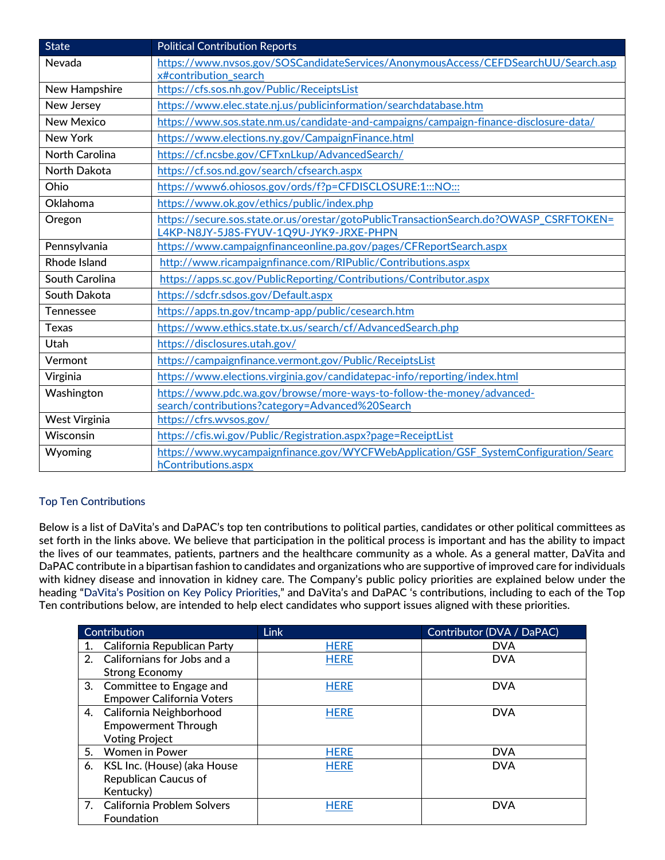| <b>State</b>         | <b>Political Contribution Reports</b>                                                                     |
|----------------------|-----------------------------------------------------------------------------------------------------------|
| Nevada               | https://www.nvsos.gov/SOSCandidateServices/AnonymousAccess/CEFDSearchUU/Search.asp                        |
|                      | x#contribution search                                                                                     |
| New Hampshire        | https://cfs.sos.nh.gov/Public/ReceiptsList                                                                |
| New Jersey           | https://www.elec.state.nj.us/publicinformation/searchdatabase.htm                                         |
| <b>New Mexico</b>    | https://www.sos.state.nm.us/candidate-and-campaigns/campaign-finance-disclosure-data/                     |
| New York             | https://www.elections.ny.gov/CampaignFinance.html                                                         |
| North Carolina       | https://cf.ncsbe.gov/CFTxnLkup/AdvancedSearch/                                                            |
| <b>North Dakota</b>  | https://cf.sos.nd.gov/search/cfsearch.aspx                                                                |
| Ohio                 | https://www6.ohiosos.gov/ords/f?p=CFDISCLOSURE:1:::NO:::                                                  |
| Oklahoma             | https://www.ok.gov/ethics/public/index.php                                                                |
| Oregon               | https://secure.sos.state.or.us/orestar/gotoPublicTransactionSearch.do?OWASP_CSRFTOKEN=                    |
|                      | L4KP-N8JY-5J8S-FYUV-1Q9U-JYK9-JRXE-PHPN                                                                   |
| Pennsylvania         | https://www.campaignfinanceonline.pa.gov/pages/CFReportSearch.aspx                                        |
| <b>Rhode Island</b>  | http://www.ricampaignfinance.com/RIPublic/Contributions.aspx                                              |
| South Carolina       | https://apps.sc.gov/PublicReporting/Contributions/Contributor.aspx                                        |
| South Dakota         | https://sdcfr.sdsos.gov/Default.aspx                                                                      |
| <b>Tennessee</b>     | https://apps.tn.gov/tncamp-app/public/cesearch.htm                                                        |
| <b>Texas</b>         | https://www.ethics.state.tx.us/search/cf/AdvancedSearch.php                                               |
| <b>Utah</b>          | https://disclosures.utah.gov/                                                                             |
| Vermont              | https://campaignfinance.vermont.gov/Public/ReceiptsList                                                   |
| Virginia             | https://www.elections.virginia.gov/candidatepac-info/reporting/index.html                                 |
| Washington           | https://www.pdc.wa.gov/browse/more-ways-to-follow-the-money/advanced-                                     |
|                      | search/contributions?category=Advanced%20Search                                                           |
| <b>West Virginia</b> | https://cfrs.wysos.gov/                                                                                   |
| Wisconsin            | https://cfis.wi.gov/Public/Registration.aspx?page=ReceiptList                                             |
| Wyoming              | https://www.wycampaignfinance.gov/WYCFWebApplication/GSF SystemConfiguration/Searc<br>hContributions.aspx |

## Top Ten Contributions

Below is a list of DaVita's and DaPAC's top ten contributions to political parties, candidates or other political committees as set forth in the links above. We believe that participation in the political process is important and has the ability to impact the lives of our teammates, patients, partners and the healthcare community as a whole. As a general matter, DaVita and DaPAC contribute in a bipartisan fashion to candidates and organizations who are supportive of improved care for individuals with kidney disease and innovation in kidney care. The Company's public policy priorities are explained below under the heading "DaVita's Position on Key Policy Priorities," and DaVita's and DaPAC 's contributions, including to each of the Top Ten contributions below, are intended to help elect candidates who support issues aligned with these priorities.

|                | Contribution                     | <b>Link</b> | Contributor (DVA / DaPAC) |
|----------------|----------------------------------|-------------|---------------------------|
| 1.             | California Republican Party      | <b>HERE</b> | <b>DVA</b>                |
| 2 <sub>1</sub> | Californians for Jobs and a      | <b>HERE</b> | <b>DVA</b>                |
|                | <b>Strong Economy</b>            |             |                           |
|                | 3. Committee to Engage and       | <b>HERE</b> | <b>DVA</b>                |
|                | <b>Empower California Voters</b> |             |                           |
|                | 4. California Neighborhood       | <b>HERE</b> | <b>DVA</b>                |
|                | <b>Empowerment Through</b>       |             |                           |
|                | <b>Voting Project</b>            |             |                           |
| 5.             | <b>Women in Power</b>            | <b>HERE</b> | <b>DVA</b>                |
| 6.             | KSL Inc. (House) (aka House      | <b>HERE</b> | <b>DVA</b>                |
|                | <b>Republican Caucus of</b>      |             |                           |
|                | Kentucky)                        |             |                           |
|                | 7. California Problem Solvers    | <b>HERE</b> | <b>DVA</b>                |
|                | Foundation                       |             |                           |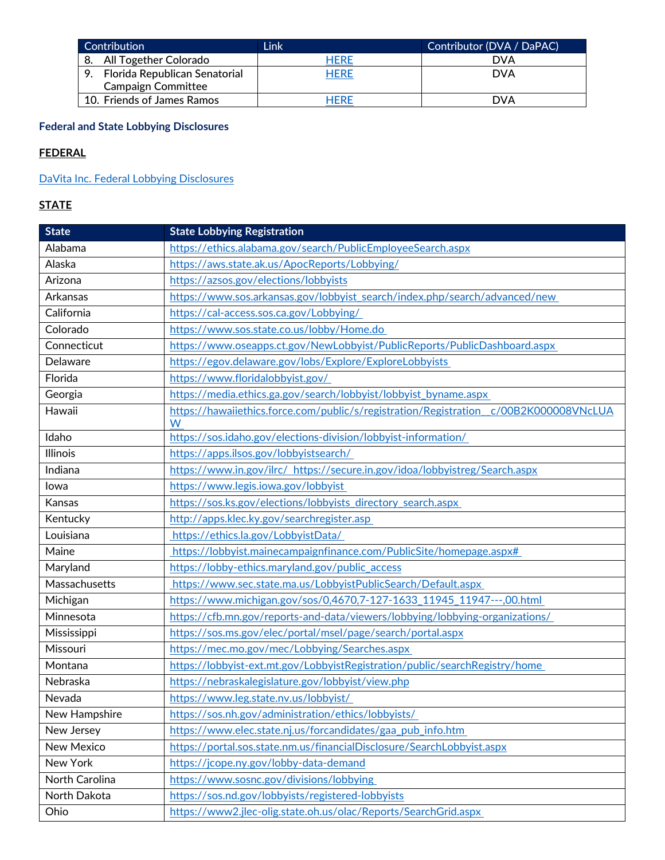| Contribution                     | Link        | Contributor (DVA / DaPAC) |
|----------------------------------|-------------|---------------------------|
| 8. All Together Colorado         | HERE        | DVA                       |
| 9. Florida Republican Senatorial | <b>HERE</b> | <b>DVA</b>                |
| <b>Campaign Committee</b>        |             |                           |
| 10. Friends of James Ramos       | Here        | DVA                       |

# **Federal and State Lobbying Disclosures**

# **FEDERAL**

# [DaVita Inc. Federal Lobbying Disclosures](https://disclosurespreview.house.gov/?index=%22lobbying-disclosures%22&size=10&keyword=%22davita%20inc.%22&sort=%5b%7b%22_score%22:true%7d,%7b%22field%22:%22registrant.name%22,%22order%22:%22asc%22%7d%5d)

# **STATE**

| <b>State</b>    | <b>State Lobbying Registration</b>                                                         |
|-----------------|--------------------------------------------------------------------------------------------|
| Alabama         | https://ethics.alabama.gov/search/PublicEmployeeSearch.aspx                                |
| Alaska          | https://aws.state.ak.us/ApocReports/Lobbying/                                              |
| Arizona         | https://azsos.gov/elections/lobbyists                                                      |
| Arkansas        | https://www.sos.arkansas.gov/lobbyist_search/index.php/search/advanced/new                 |
| California      | https://cal-access.sos.ca.gov/Lobbying/                                                    |
| Colorado        | https://www.sos.state.co.us/lobby/Home.do                                                  |
| Connecticut     | https://www.oseapps.ct.gov/NewLobbyist/PublicReports/PublicDashboard.aspx                  |
| Delaware        | https://egov.delaware.gov/lobs/Explore/ExploreLobbyists                                    |
| Florida         | https://www.floridalobbyist.gov/                                                           |
| Georgia         | https://media.ethics.ga.gov/search/lobbyist/lobbyist_byname.aspx                           |
| Hawaii          | https://hawaiiethics.force.com/public/s/registration/Registration_c/00B2K000008VNcLUA<br>W |
| Idaho           | https://sos.idaho.gov/elections-division/lobbyist-information/                             |
| <b>Illinois</b> | https://apps.ilsos.gov/lobbyistsearch/                                                     |
| Indiana         | https://www.in.gov/ilrc/ https://secure.in.gov/idoa/lobbyistreg/Search.aspx                |
| lowa            | https://www.legis.iowa.gov/lobbyist                                                        |
| Kansas          | https://sos.ks.gov/elections/lobbyists directory search.aspx                               |
| Kentucky        | http://apps.klec.ky.gov/searchregister.asp                                                 |
| Louisiana       | https://ethics.la.gov/LobbyistData/                                                        |
| Maine           | https://lobbyist.mainecampaignfinance.com/PublicSite/homepage.aspx#                        |
| Maryland        | https://lobby-ethics.maryland.gov/public access                                            |
| Massachusetts   | https://www.sec.state.ma.us/LobbyistPublicSearch/Default.aspx                              |
| Michigan        | https://www.michigan.gov/sos/0,4670,7-127-1633 11945 11947---,00.html                      |
| Minnesota       | https://cfb.mn.gov/reports-and-data/viewers/lobbying/lobbying-organizations/               |
| Mississippi     | https://sos.ms.gov/elec/portal/msel/page/search/portal.aspx                                |
| Missouri        | https://mec.mo.gov/mec/Lobbying/Searches.aspx                                              |
| Montana         | https://lobbyist-ext.mt.gov/LobbyistRegistration/public/searchRegistry/home                |
| Nebraska        | https://nebraskalegislature.gov/lobbyist/view.php                                          |
| Nevada          | https://www.leg.state.nv.us/lobbyist/                                                      |
| New Hampshire   | https://sos.nh.gov/administration/ethics/lobbyists/                                        |
| New Jersey      | https://www.elec.state.nj.us/forcandidates/gaa pub info.htm                                |
| New Mexico      | https://portal.sos.state.nm.us/financialDisclosure/SearchLobbyist.aspx                     |
| New York        | https://jcope.ny.gov/lobby-data-demand                                                     |
| North Carolina  | https://www.sosnc.gov/divisions/lobbying                                                   |
| North Dakota    | https://sos.nd.gov/lobbyists/registered-lobbyists                                          |
| Ohio            | https://www2.jlec-olig.state.oh.us/olac/Reports/SearchGrid.aspx                            |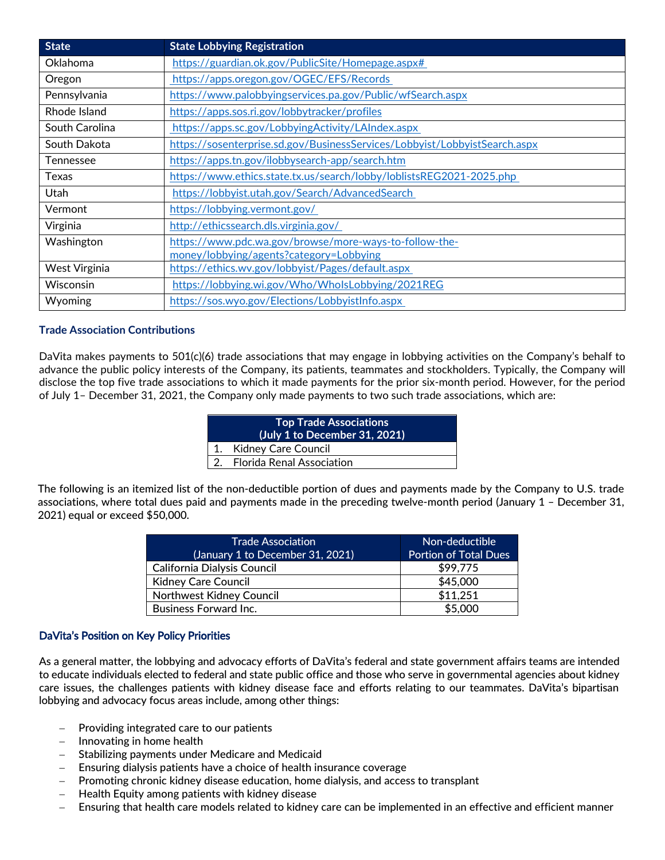| <b>State</b>     | <b>State Lobbying Registration</b>                                         |
|------------------|----------------------------------------------------------------------------|
| Oklahoma         | https://guardian.ok.gov/PublicSite/Homepage.aspx#                          |
| Oregon           | https://apps.oregon.gov/OGEC/EFS/Records                                   |
| Pennsylvania     | https://www.palobbyingservices.pa.gov/Public/wfSearch.aspx                 |
| Rhode Island     | https://apps.sos.ri.gov/lobbytracker/profiles                              |
| South Carolina   | https://apps.sc.gov/LobbyingActivity/LAIndex.aspx                          |
| South Dakota     | https://sosenterprise.sd.gov/BusinessServices/Lobbyist/LobbyistSearch.aspx |
| <b>Tennessee</b> | https://apps.tn.gov/ilobbysearch-app/search.htm                            |
| Texas            | https://www.ethics.state.tx.us/search/lobby/loblistsREG2021-2025.php       |
| Utah             | https://lobbyist.utah.gov/Search/AdvancedSearch                            |
| Vermont          | https://lobbying.vermont.gov/                                              |
| Virginia         | http://ethicssearch.dls.virginia.gov/                                      |
| Washington       | https://www.pdc.wa.gov/browse/more-ways-to-follow-the-                     |
|                  | money/lobbying/agents?category=Lobbying                                    |
| West Virginia    | https://ethics.wv.gov/lobbyist/Pages/default.aspx                          |
| Wisconsin        | https://lobbying.wi.gov/Who/WholsLobbying/2021REG                          |
| Wyoming          | https://sos.wyo.gov/Elections/LobbyistInfo.aspx                            |

#### **Trade Association Contributions**

DaVita makes payments to 501(c)(6) trade associations that may engage in lobbying activities on the Company's behalf to advance the public policy interests of the Company, its patients, teammates and stockholders. Typically, the Company will disclose the top five trade associations to which it made payments for the prior six-month period. However, for the period of July 1– December 31, 2021, the Company only made payments to two such trade associations, which are:

| <b>Top Trade Associations</b><br>(July 1 to December 31, 2021) |                              |  |
|----------------------------------------------------------------|------------------------------|--|
|                                                                | 1. Kidney Care Council       |  |
|                                                                | 2. Florida Renal Association |  |

The following is an itemized list of the non-deductible portion of dues and payments made by the Company to U.S. trade associations, where total dues paid and payments made in the preceding twelve-month period (January 1 – December 31, 2021) equal or exceed \$50,000.

| <b>Trade Association</b><br>(January 1 to December 31, 2021) | Non-deductible<br><b>Portion of Total Dues</b> |
|--------------------------------------------------------------|------------------------------------------------|
| California Dialysis Council                                  | \$99,775                                       |
| <b>Kidney Care Council</b>                                   | \$45,000                                       |
| <b>Northwest Kidney Council</b>                              | \$11,251                                       |
| <b>Business Forward Inc.</b>                                 | \$5,000                                        |

### DaVita's Position on Key Policy Priorities

As a general matter, the lobbying and advocacy efforts of DaVita's federal and state government affairs teams are intended to educate individuals elected to federal and state public office and those who serve in governmental agencies about kidney care issues, the challenges patients with kidney disease face and efforts relating to our teammates. DaVita's bipartisan lobbying and advocacy focus areas include, among other things:

- Providing integrated care to our patients
- − Innovating in home health
- Stabilizing payments under Medicare and Medicaid
- Ensuring dialysis patients have a choice of health insurance coverage
- − Promoting chronic kidney disease education, home dialysis, and access to transplant
- − Health Equity among patients with kidney disease
- Ensuring that health care models related to kidney care can be implemented in an effective and efficient manner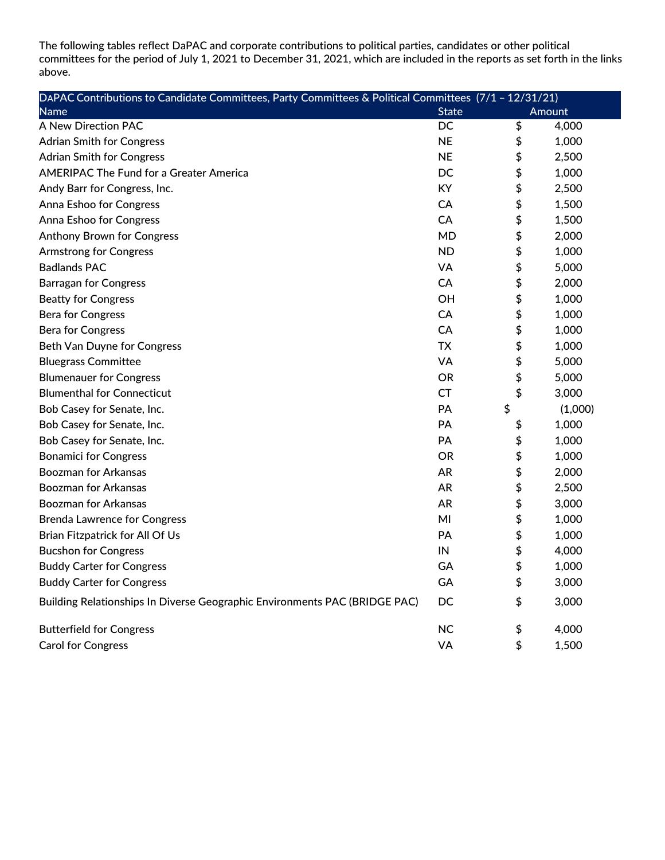The following tables reflect DaPAC and corporate contributions to political parties, candidates or other political committees for the period of July 1, 2021 to December 31, 2021, which are included in the reports as set forth in the links above.

| DAPAC Contributions to Candidate Committees, Party Committees & Political Committees (7/1 - 12/31/21) |              |        |         |
|-------------------------------------------------------------------------------------------------------|--------------|--------|---------|
| Name                                                                                                  | <b>State</b> | Amount |         |
| A New Direction PAC                                                                                   | DC           | \$     | 4,000   |
| <b>Adrian Smith for Congress</b>                                                                      | <b>NE</b>    | \$     | 1,000   |
| <b>Adrian Smith for Congress</b>                                                                      | <b>NE</b>    | \$     | 2,500   |
| <b>AMERIPAC The Fund for a Greater America</b>                                                        | DC           | \$     | 1,000   |
| Andy Barr for Congress, Inc.                                                                          | KY           | \$     | 2,500   |
| Anna Eshoo for Congress                                                                               | CA           | \$     | 1,500   |
| Anna Eshoo for Congress                                                                               | CA           | \$     | 1,500   |
| <b>Anthony Brown for Congress</b>                                                                     | <b>MD</b>    | \$     | 2,000   |
| <b>Armstrong for Congress</b>                                                                         | <b>ND</b>    | \$     | 1,000   |
| <b>Badlands PAC</b>                                                                                   | <b>VA</b>    | \$     | 5,000   |
| <b>Barragan for Congress</b>                                                                          | CA           | \$     | 2,000   |
| <b>Beatty for Congress</b>                                                                            | ОH           | \$     | 1,000   |
| <b>Bera for Congress</b>                                                                              | CA           | \$     | 1,000   |
| <b>Bera for Congress</b>                                                                              | CA           | \$     | 1,000   |
| Beth Van Duyne for Congress                                                                           | TX.          | \$     | 1,000   |
| <b>Bluegrass Committee</b>                                                                            | <b>VA</b>    | \$     | 5,000   |
| <b>Blumenauer for Congress</b>                                                                        | <b>OR</b>    | \$     | 5,000   |
| <b>Blumenthal for Connecticut</b>                                                                     | <b>CT</b>    | \$     | 3,000   |
| Bob Casey for Senate, Inc.                                                                            | PА           | \$     | (1,000) |
| Bob Casey for Senate, Inc.                                                                            | PA           | \$     | 1,000   |
| Bob Casey for Senate, Inc.                                                                            | PА           | \$     | 1,000   |
| <b>Bonamici for Congress</b>                                                                          | <b>OR</b>    | \$     | 1,000   |
| <b>Boozman for Arkansas</b>                                                                           | <b>AR</b>    | \$     | 2,000   |
| <b>Boozman for Arkansas</b>                                                                           | <b>AR</b>    | \$     | 2,500   |
| <b>Boozman for Arkansas</b>                                                                           | <b>AR</b>    | \$     | 3,000   |
| <b>Brenda Lawrence for Congress</b>                                                                   | MI           | \$     | 1,000   |
| Brian Fitzpatrick for All Of Us                                                                       | PA           | \$     | 1,000   |
| <b>Bucshon for Congress</b>                                                                           | IN           | \$     | 4,000   |
| <b>Buddy Carter for Congress</b>                                                                      | GA           | \$     | 1,000   |
| <b>Buddy Carter for Congress</b>                                                                      | GA           | \$     | 3,000   |
| Building Relationships In Diverse Geographic Environments PAC (BRIDGE PAC)                            | DC           | \$     | 3,000   |
| <b>Butterfield for Congress</b>                                                                       | <b>NC</b>    | \$     | 4,000   |
| <b>Carol for Congress</b>                                                                             | VA           | \$     | 1,500   |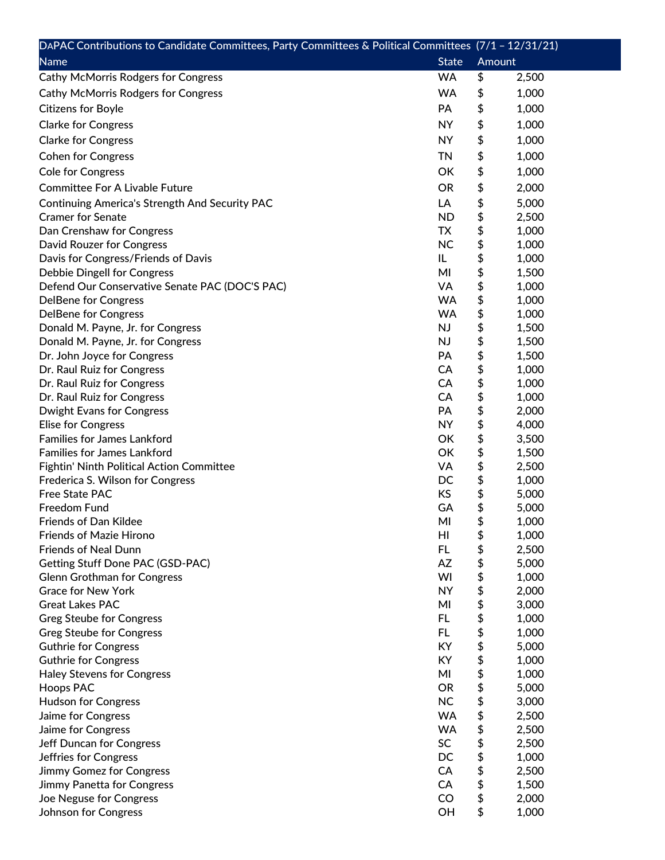| DAPAC Contributions to Candidate Committees, Party Committees & Political Committees (7/1 - 12/31/21) |                        |        |       |
|-------------------------------------------------------------------------------------------------------|------------------------|--------|-------|
| <b>Name</b>                                                                                           | <b>State</b>           | Amount |       |
| <b>Cathy McMorris Rodgers for Congress</b>                                                            | <b>WA</b>              | \$     | 2,500 |
| <b>Cathy McMorris Rodgers for Congress</b>                                                            | <b>WA</b>              | \$     | 1,000 |
| <b>Citizens for Boyle</b>                                                                             | PA                     | \$     | 1,000 |
| <b>Clarke for Congress</b>                                                                            | <b>NY</b>              | \$     | 1,000 |
|                                                                                                       | <b>NY</b>              | \$     | 1,000 |
| <b>Clarke for Congress</b>                                                                            |                        |        |       |
| <b>Cohen for Congress</b>                                                                             | <b>TN</b>              | \$     | 1,000 |
| <b>Cole for Congress</b>                                                                              | OK                     | \$     | 1,000 |
| <b>Committee For A Livable Future</b>                                                                 | <b>OR</b>              | \$     | 2,000 |
| Continuing America's Strength And Security PAC                                                        | LA                     | \$     | 5,000 |
| <b>Cramer for Senate</b>                                                                              | <b>ND</b>              | \$     | 2,500 |
| Dan Crenshaw for Congress                                                                             | TX                     | \$     | 1,000 |
| David Rouzer for Congress                                                                             | <b>NC</b>              | \$     | 1,000 |
| Davis for Congress/Friends of Davis                                                                   | IL                     | \$     | 1,000 |
| <b>Debbie Dingell for Congress</b>                                                                    | MI                     | \$     | 1,500 |
| Defend Our Conservative Senate PAC (DOC'S PAC)                                                        | VA                     | \$     | 1,000 |
| <b>DelBene for Congress</b>                                                                           | <b>WA</b>              | \$     | 1,000 |
| <b>DelBene for Congress</b>                                                                           | <b>WA</b>              | \$     | 1,000 |
| Donald M. Payne, Jr. for Congress                                                                     | NJ                     | \$     | 1,500 |
| Donald M. Payne, Jr. for Congress                                                                     | NJ                     | \$     | 1,500 |
| Dr. John Joyce for Congress                                                                           | PA                     | \$     | 1,500 |
| Dr. Raul Ruiz for Congress                                                                            | CA                     | \$     | 1,000 |
| Dr. Raul Ruiz for Congress                                                                            | CA                     | \$     | 1,000 |
| Dr. Raul Ruiz for Congress                                                                            | <b>CA</b>              | \$     | 1,000 |
| <b>Dwight Evans for Congress</b>                                                                      | PA                     | \$     | 2,000 |
| <b>Elise for Congress</b>                                                                             | <b>NY</b>              | \$     | 4,000 |
| <b>Families for James Lankford</b>                                                                    | OK                     | \$     | 3,500 |
| <b>Families for James Lankford</b>                                                                    | OK                     | \$     | 1,500 |
| Fightin' Ninth Political Action Committee                                                             | VA                     | \$     | 2,500 |
| Frederica S. Wilson for Congress                                                                      | DC                     | \$     | 1,000 |
| Free State PAC                                                                                        | KS                     | \$     | 5,000 |
| <b>Freedom Fund</b>                                                                                   | GA                     | \$     | 5,000 |
| Friends of Dan Kildee                                                                                 | MI                     | \$     | 1,000 |
| <b>Friends of Mazie Hirono</b>                                                                        | HI                     | \$     | 1,000 |
| <b>Friends of Neal Dunn</b>                                                                           | FL.                    | \$     | 2,500 |
| Getting Stuff Done PAC (GSD-PAC)                                                                      | AZ                     | \$     | 5,000 |
| <b>Glenn Grothman for Congress</b>                                                                    | WI                     | \$     | 1,000 |
| <b>Grace for New York</b>                                                                             | <b>NY</b>              | \$     | 2,000 |
| <b>Great Lakes PAC</b>                                                                                | MI                     | \$     | 3,000 |
| <b>Greg Steube for Congress</b>                                                                       | FL.                    | \$     | 1,000 |
| <b>Greg Steube for Congress</b>                                                                       | FL.                    | \$     | 1,000 |
| <b>Guthrie for Congress</b>                                                                           | <b>KY</b>              | \$     | 5,000 |
| <b>Guthrie for Congress</b>                                                                           | KY                     | \$     | 1,000 |
| <b>Haley Stevens for Congress</b>                                                                     | MI                     | \$     | 1,000 |
| <b>Hoops PAC</b>                                                                                      | <b>OR</b>              | \$     | 5,000 |
| <b>Hudson for Congress</b>                                                                            | <b>NC</b><br><b>WA</b> | \$     | 3,000 |
| Jaime for Congress                                                                                    | <b>WA</b>              | \$     | 2,500 |
| Jaime for Congress                                                                                    | SC                     | \$     | 2,500 |
| Jeff Duncan for Congress                                                                              |                        | \$     | 2,500 |
| Jeffries for Congress                                                                                 | DC                     | \$     | 1,000 |
| Jimmy Gomez for Congress                                                                              | CA                     | \$     | 2,500 |
| Jimmy Panetta for Congress                                                                            | CA<br>CO               | \$     | 1,500 |
| Joe Neguse for Congress                                                                               |                        | \$     | 2,000 |
| Johnson for Congress                                                                                  | OH                     | \$     | 1,000 |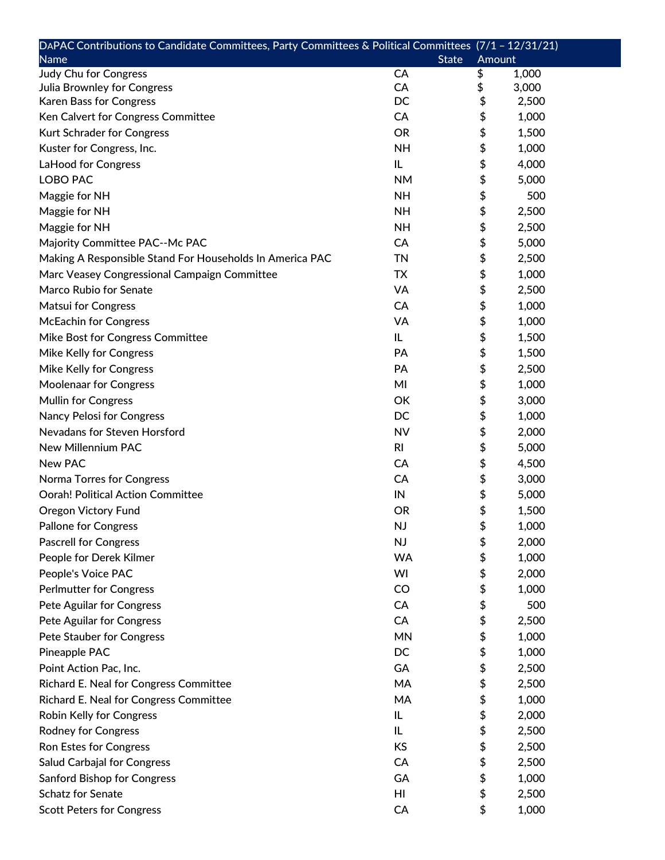| DAPAC Contributions to Candidate Committees, Party Committees & Political Committees (7/1 - 12/31/21) |                |        |       |
|-------------------------------------------------------------------------------------------------------|----------------|--------|-------|
| <b>Name</b>                                                                                           | <b>State</b>   | Amount |       |
| <b>Judy Chu for Congress</b>                                                                          | CA             | \$     | 1,000 |
| Julia Brownley for Congress                                                                           | CA             | \$     | 3,000 |
| Karen Bass for Congress                                                                               | DC             | \$     | 2,500 |
| Ken Calvert for Congress Committee                                                                    | CA             | \$     | 1,000 |
| Kurt Schrader for Congress                                                                            | <b>OR</b>      | \$     | 1,500 |
| Kuster for Congress, Inc.                                                                             | <b>NH</b>      | \$     | 1,000 |
| LaHood for Congress                                                                                   | IL             | \$     | 4,000 |
| <b>LOBO PAC</b>                                                                                       | <b>NM</b>      | \$     | 5,000 |
| Maggie for NH                                                                                         | <b>NH</b>      | \$     | 500   |
| Maggie for NH                                                                                         | <b>NH</b>      | \$     | 2,500 |
| Maggie for NH                                                                                         | <b>NH</b>      | \$     | 2,500 |
| Majority Committee PAC--Mc PAC                                                                        | CA             | \$     | 5,000 |
| Making A Responsible Stand For Households In America PAC                                              | <b>TN</b>      | \$     | 2,500 |
| Marc Veasey Congressional Campaign Committee                                                          | <b>TX</b>      | \$     | 1,000 |
| Marco Rubio for Senate                                                                                | VA             | \$     | 2,500 |
| <b>Matsui for Congress</b>                                                                            | CA             | \$     | 1,000 |
| <b>McEachin for Congress</b>                                                                          | VA             | \$     | 1,000 |
| Mike Bost for Congress Committee                                                                      | IL             | \$     | 1,500 |
| Mike Kelly for Congress                                                                               | PA             | \$     | 1,500 |
| Mike Kelly for Congress                                                                               | PA             | \$     | 2,500 |
| <b>Moolenaar for Congress</b>                                                                         | MI             | \$     | 1,000 |
| <b>Mullin for Congress</b>                                                                            | OK             | \$     | 3,000 |
| <b>Nancy Pelosi for Congress</b>                                                                      | DC             | \$     | 1,000 |
| Nevadans for Steven Horsford                                                                          | <b>NV</b>      | \$     | 2,000 |
| New Millennium PAC                                                                                    | R <sub>l</sub> | \$     | 5,000 |
| <b>New PAC</b>                                                                                        | CA             | \$     | 4,500 |
| Norma Torres for Congress                                                                             | CA             | \$     | 3,000 |
| <b>Oorah! Political Action Committee</b>                                                              | IN             | \$     | 5,000 |
| <b>Oregon Victory Fund</b>                                                                            | <b>OR</b>      | \$     | 1,500 |
| <b>Pallone for Congress</b>                                                                           | <b>NJ</b>      | \$     | 1,000 |
| <b>Pascrell for Congress</b>                                                                          | NJ             | \$     | 2,000 |
| People for Derek Kilmer                                                                               | <b>WA</b>      | \$     | 1,000 |
|                                                                                                       | WI             | \$     |       |
| People's Voice PAC                                                                                    |                |        | 2,000 |
| <b>Perlmutter for Congress</b>                                                                        | CO             | \$     | 1,000 |
| Pete Aguilar for Congress                                                                             | CA             | \$     | 500   |
| Pete Aguilar for Congress                                                                             | CA             | \$     | 2,500 |
| Pete Stauber for Congress                                                                             | <b>MN</b>      | \$     | 1,000 |
| Pineapple PAC                                                                                         | DC             | \$     | 1,000 |
| Point Action Pac, Inc.                                                                                | GA             | \$     | 2,500 |
| Richard E. Neal for Congress Committee                                                                | MA             | \$     | 2,500 |
| Richard E. Neal for Congress Committee                                                                | MA             | \$     | 1,000 |
| Robin Kelly for Congress                                                                              | IL             | \$     | 2,000 |
| <b>Rodney for Congress</b>                                                                            | IL             | \$     | 2,500 |
| Ron Estes for Congress                                                                                | <b>KS</b>      | \$     | 2,500 |
| Salud Carbajal for Congress                                                                           | CA             | \$     | 2,500 |
| <b>Sanford Bishop for Congress</b>                                                                    | GA             | \$     | 1,000 |
| <b>Schatz for Senate</b>                                                                              | HI             | \$     | 2,500 |
| <b>Scott Peters for Congress</b>                                                                      | CA             | \$     | 1,000 |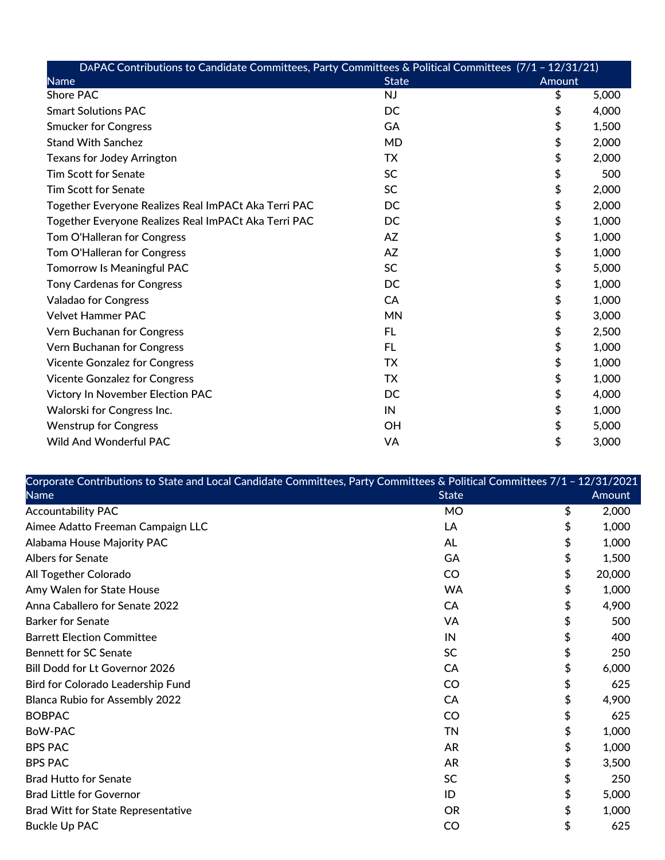| DAPAC Contributions to Candidate Committees, Party Committees & Political Committees (7/1 - 12/31/21) |              |        |       |  |
|-------------------------------------------------------------------------------------------------------|--------------|--------|-------|--|
| <b>Name</b>                                                                                           | <b>State</b> | Amount |       |  |
| <b>Shore PAC</b>                                                                                      | <b>NJ</b>    | \$     | 5,000 |  |
| <b>Smart Solutions PAC</b>                                                                            | DC.          | \$     | 4,000 |  |
| <b>Smucker for Congress</b>                                                                           | GA           | \$     | 1,500 |  |
| <b>Stand With Sanchez</b>                                                                             | <b>MD</b>    | \$     | 2,000 |  |
| <b>Texans for Jodey Arrington</b>                                                                     | <b>TX</b>    | \$     | 2,000 |  |
| <b>Tim Scott for Senate</b>                                                                           | <b>SC</b>    | \$     | 500   |  |
| <b>Tim Scott for Senate</b>                                                                           | <b>SC</b>    | \$     | 2,000 |  |
| Together Everyone Realizes Real ImPACt Aka Terri PAC                                                  | DC           | \$     | 2,000 |  |
| Together Everyone Realizes Real ImPACt Aka Terri PAC                                                  | DC           | \$     | 1,000 |  |
| Tom O'Halleran for Congress                                                                           | AZ           | \$     | 1,000 |  |
| Tom O'Halleran for Congress                                                                           | AZ           | \$     | 1,000 |  |
| <b>Tomorrow Is Meaningful PAC</b>                                                                     | <b>SC</b>    | \$     | 5,000 |  |
| <b>Tony Cardenas for Congress</b>                                                                     | DC           | \$     | 1,000 |  |
| <b>Valadao for Congress</b>                                                                           | CA           | \$     | 1,000 |  |
| <b>Velvet Hammer PAC</b>                                                                              | <b>MN</b>    | \$     | 3,000 |  |
| Vern Buchanan for Congress                                                                            | FL           | \$     | 2,500 |  |
| Vern Buchanan for Congress                                                                            | <b>FL</b>    | \$     | 1,000 |  |
| <b>Vicente Gonzalez for Congress</b>                                                                  | TX           | \$     | 1,000 |  |
| <b>Vicente Gonzalez for Congress</b>                                                                  | TX           | \$     | 1,000 |  |
| Victory In November Election PAC                                                                      | DC           | \$     | 4,000 |  |
| Walorski for Congress Inc.                                                                            | IN           | \$     | 1,000 |  |
| <b>Wenstrup for Congress</b>                                                                          | OH           | \$     | 5,000 |  |
| <b>Wild And Wonderful PAC</b>                                                                         | VA           | \$     | 3,000 |  |

| Corporate Contributions to State and Local Candidate Committees, Party Committees & Political Committees 7/1 - 12/31/2021 |              |              |
|---------------------------------------------------------------------------------------------------------------------------|--------------|--------------|
| <b>Name</b>                                                                                                               | <b>State</b> | Amount       |
| <b>Accountability PAC</b>                                                                                                 | <b>MO</b>    | \$<br>2,000  |
| Aimee Adatto Freeman Campaign LLC                                                                                         | LA           | \$<br>1,000  |
| Alabama House Majority PAC                                                                                                | AL           | \$<br>1,000  |
| <b>Albers for Senate</b>                                                                                                  | GA           | \$<br>1,500  |
| All Together Colorado                                                                                                     | CO           | \$<br>20,000 |
| Amy Walen for State House                                                                                                 | <b>WA</b>    | \$<br>1,000  |
| Anna Caballero for Senate 2022                                                                                            | CA           | \$<br>4,900  |
| <b>Barker for Senate</b>                                                                                                  | <b>VA</b>    | \$<br>500    |
| <b>Barrett Election Committee</b>                                                                                         | IN           | \$<br>400    |
| <b>Bennett for SC Senate</b>                                                                                              | <b>SC</b>    | \$<br>250    |
| Bill Dodd for Lt Governor 2026                                                                                            | CA           | \$<br>6,000  |
| Bird for Colorado Leadership Fund                                                                                         | CO           | \$<br>625    |
| <b>Blanca Rubio for Assembly 2022</b>                                                                                     | CA           | \$<br>4,900  |
| <b>BOBPAC</b>                                                                                                             | CO           | \$<br>625    |
| BoW-PAC                                                                                                                   | TN           | \$<br>1,000  |
| <b>BPS PAC</b>                                                                                                            | <b>AR</b>    | \$<br>1,000  |
| <b>BPS PAC</b>                                                                                                            | <b>AR</b>    | \$<br>3,500  |
| <b>Brad Hutto for Senate</b>                                                                                              | <b>SC</b>    | \$<br>250    |
| <b>Brad Little for Governor</b>                                                                                           | ID           | \$<br>5,000  |
| <b>Brad Witt for State Representative</b>                                                                                 | <b>OR</b>    | \$<br>1,000  |
| <b>Buckle Up PAC</b>                                                                                                      | CO           | \$<br>625    |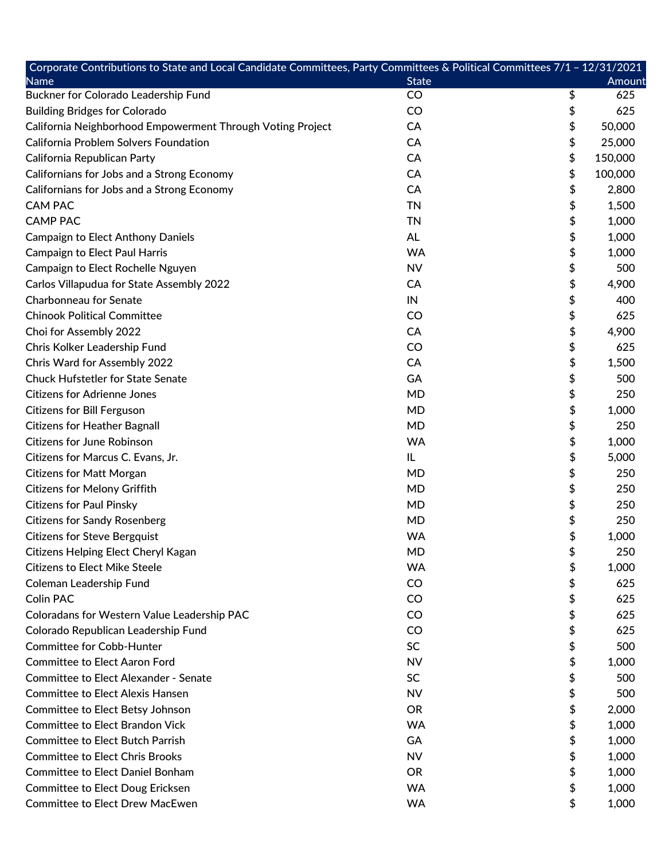| Corporate Contributions to State and Local Candidate Committees, Party Committees & Political Committees 7/1 - 12/31/2021 |              |               |
|---------------------------------------------------------------------------------------------------------------------------|--------------|---------------|
| <b>Name</b>                                                                                                               | <b>State</b> | <b>Amount</b> |
| Buckner for Colorado Leadership Fund                                                                                      | CO           | \$<br>625     |
| <b>Building Bridges for Colorado</b>                                                                                      | CO           | \$<br>625     |
| California Neighborhood Empowerment Through Voting Project                                                                | CA           | \$<br>50,000  |
| California Problem Solvers Foundation                                                                                     | CA           | \$<br>25,000  |
| California Republican Party                                                                                               | CA           | \$<br>150,000 |
| Californians for Jobs and a Strong Economy                                                                                | CA           | \$<br>100,000 |
| Californians for Jobs and a Strong Economy                                                                                | CA           | \$<br>2,800   |
| <b>CAM PAC</b>                                                                                                            | <b>TN</b>    | \$<br>1,500   |
| <b>CAMP PAC</b>                                                                                                           | <b>TN</b>    | \$<br>1,000   |
| <b>Campaign to Elect Anthony Daniels</b>                                                                                  | <b>AL</b>    | \$<br>1,000   |
| <b>Campaign to Elect Paul Harris</b>                                                                                      | <b>WA</b>    | \$<br>1,000   |
| Campaign to Elect Rochelle Nguyen                                                                                         | <b>NV</b>    | \$<br>500     |
| Carlos Villapudua for State Assembly 2022                                                                                 | CA           | \$<br>4,900   |
| <b>Charbonneau for Senate</b>                                                                                             | IN           | \$<br>400     |
| <b>Chinook Political Committee</b>                                                                                        | CO           | \$<br>625     |
| Choi for Assembly 2022                                                                                                    | CA           | \$<br>4,900   |
| Chris Kolker Leadership Fund                                                                                              | <b>CO</b>    | \$<br>625     |
| Chris Ward for Assembly 2022                                                                                              | CA           | \$<br>1,500   |
| <b>Chuck Hufstetler for State Senate</b>                                                                                  | GA           | \$<br>500     |
| <b>Citizens for Adrienne Jones</b>                                                                                        | <b>MD</b>    | \$<br>250     |
| <b>Citizens for Bill Ferguson</b>                                                                                         | <b>MD</b>    | \$<br>1,000   |
| <b>Citizens for Heather Bagnall</b>                                                                                       | <b>MD</b>    | \$<br>250     |
| <b>Citizens for June Robinson</b>                                                                                         | <b>WA</b>    | \$<br>1,000   |
| Citizens for Marcus C. Evans, Jr.                                                                                         | IL           | \$<br>5,000   |
| <b>Citizens for Matt Morgan</b>                                                                                           | <b>MD</b>    | \$<br>250     |
| <b>Citizens for Melony Griffith</b>                                                                                       | <b>MD</b>    | \$<br>250     |
| <b>Citizens for Paul Pinsky</b>                                                                                           | <b>MD</b>    | \$<br>250     |
| <b>Citizens for Sandy Rosenberg</b>                                                                                       | <b>MD</b>    | \$<br>250     |
| <b>Citizens for Steve Bergquist</b>                                                                                       | <b>WA</b>    | \$<br>1,000   |
| Citizens Helping Elect Cheryl Kagan                                                                                       | <b>MD</b>    | \$<br>250     |
| <b>Citizens to Elect Mike Steele</b>                                                                                      | <b>WA</b>    | \$<br>1,000   |
| <b>Coleman Leadership Fund</b>                                                                                            | CO           | \$<br>625     |
| <b>Colin PAC</b>                                                                                                          | CO           | \$<br>625     |
| Coloradans for Western Value Leadership PAC                                                                               | CO           | \$<br>625     |
| Colorado Republican Leadership Fund                                                                                       | <b>CO</b>    | \$<br>625     |
| <b>Committee for Cobb-Hunter</b>                                                                                          | <b>SC</b>    | \$<br>500     |
| <b>Committee to Elect Aaron Ford</b>                                                                                      | <b>NV</b>    | \$<br>1,000   |
| <b>Committee to Elect Alexander - Senate</b>                                                                              | <b>SC</b>    | \$<br>500     |
| <b>Committee to Elect Alexis Hansen</b>                                                                                   | <b>NV</b>    | \$<br>500     |
| Committee to Elect Betsy Johnson                                                                                          | <b>OR</b>    | \$<br>2,000   |
| <b>Committee to Elect Brandon Vick</b>                                                                                    | <b>WA</b>    | \$<br>1,000   |
| <b>Committee to Elect Butch Parrish</b>                                                                                   | GA           | \$<br>1,000   |
| <b>Committee to Elect Chris Brooks</b>                                                                                    | <b>NV</b>    | \$<br>1,000   |
| <b>Committee to Elect Daniel Bonham</b>                                                                                   | <b>OR</b>    | \$<br>1,000   |
| <b>Committee to Elect Doug Ericksen</b>                                                                                   | <b>WA</b>    | \$<br>1,000   |
| <b>Committee to Elect Drew MacEwen</b>                                                                                    | <b>WA</b>    | \$<br>1,000   |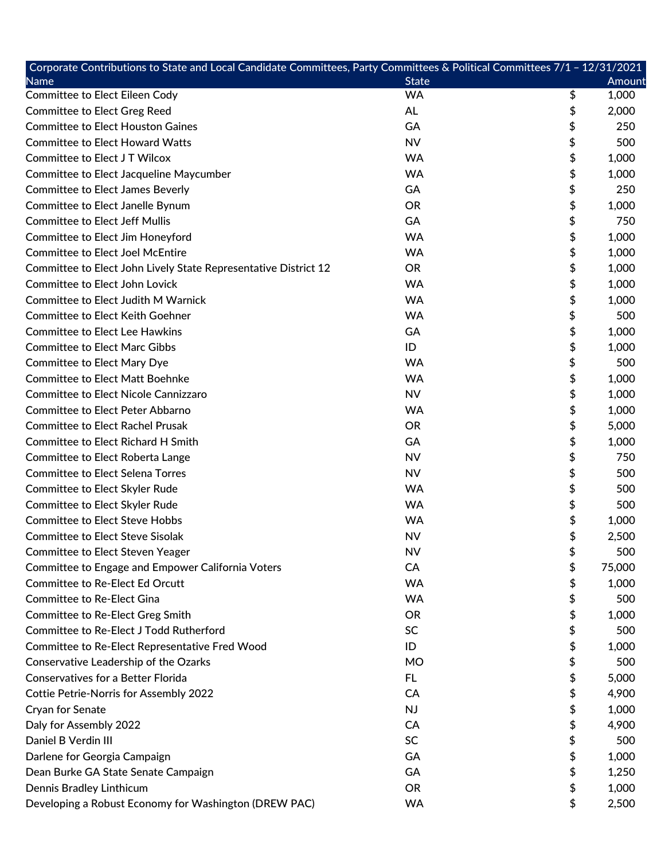| Corporate Contributions to State and Local Candidate Committees, Party Committees & Political Committees 7/1 - 12/31/2021 |              |              |
|---------------------------------------------------------------------------------------------------------------------------|--------------|--------------|
| <b>Name</b>                                                                                                               | <b>State</b> | Amount       |
| <b>Committee to Elect Eileen Cody</b>                                                                                     | <b>WA</b>    | \$<br>1,000  |
| <b>Committee to Elect Greg Reed</b>                                                                                       | AL           | \$<br>2,000  |
| <b>Committee to Elect Houston Gaines</b>                                                                                  | GA           | \$<br>250    |
| <b>Committee to Elect Howard Watts</b>                                                                                    | <b>NV</b>    | \$<br>500    |
| Committee to Elect JT Wilcox                                                                                              | <b>WA</b>    | \$<br>1,000  |
| Committee to Elect Jacqueline Maycumber                                                                                   | <b>WA</b>    | \$<br>1,000  |
| <b>Committee to Elect James Beverly</b>                                                                                   | GA           | \$<br>250    |
| Committee to Elect Janelle Bynum                                                                                          | <b>OR</b>    | \$<br>1,000  |
| <b>Committee to Elect Jeff Mullis</b>                                                                                     | GA           | \$<br>750    |
| Committee to Elect Jim Honeyford                                                                                          | <b>WA</b>    | \$<br>1,000  |
| <b>Committee to Elect Joel McEntire</b>                                                                                   | <b>WA</b>    | \$<br>1,000  |
| Committee to Elect John Lively State Representative District 12                                                           | <b>OR</b>    | \$<br>1,000  |
| <b>Committee to Elect John Lovick</b>                                                                                     | <b>WA</b>    | \$<br>1,000  |
| <b>Committee to Elect Judith M Warnick</b>                                                                                | <b>WA</b>    | \$<br>1,000  |
| <b>Committee to Elect Keith Goehner</b>                                                                                   | <b>WA</b>    | \$<br>500    |
| <b>Committee to Elect Lee Hawkins</b>                                                                                     | GA           | \$<br>1,000  |
| <b>Committee to Elect Marc Gibbs</b>                                                                                      | ID           | \$<br>1,000  |
| <b>Committee to Elect Mary Dye</b>                                                                                        | <b>WA</b>    | \$<br>500    |
| <b>Committee to Elect Matt Boehnke</b>                                                                                    | <b>WA</b>    | \$<br>1,000  |
| <b>Committee to Elect Nicole Cannizzaro</b>                                                                               | <b>NV</b>    | \$<br>1,000  |
| <b>Committee to Elect Peter Abbarno</b>                                                                                   | <b>WA</b>    | \$<br>1,000  |
| <b>Committee to Elect Rachel Prusak</b>                                                                                   | <b>OR</b>    | \$<br>5,000  |
| <b>Committee to Elect Richard H Smith</b>                                                                                 | GA           | \$<br>1,000  |
| <b>Committee to Elect Roberta Lange</b>                                                                                   | <b>NV</b>    | \$<br>750    |
| <b>Committee to Elect Selena Torres</b>                                                                                   | <b>NV</b>    | \$<br>500    |
| Committee to Elect Skyler Rude                                                                                            | <b>WA</b>    | \$<br>500    |
| Committee to Elect Skyler Rude                                                                                            | <b>WA</b>    | \$<br>500    |
| <b>Committee to Elect Steve Hobbs</b>                                                                                     | <b>WA</b>    | \$<br>1,000  |
| <b>Committee to Elect Steve Sisolak</b>                                                                                   | <b>NV</b>    | \$<br>2,500  |
| <b>Committee to Elect Steven Yeager</b>                                                                                   | <b>NV</b>    | \$<br>500    |
| Committee to Engage and Empower California Voters                                                                         | CA           | \$<br>75,000 |
| <b>Committee to Re-Elect Ed Orcutt</b>                                                                                    | <b>WA</b>    | \$<br>1,000  |
| <b>Committee to Re-Elect Gina</b>                                                                                         | <b>WA</b>    | \$<br>500    |
| <b>Committee to Re-Elect Greg Smith</b>                                                                                   | <b>OR</b>    | \$<br>1,000  |
| Committee to Re-Elect J Todd Rutherford                                                                                   | <b>SC</b>    | \$<br>500    |
| <b>Committee to Re-Elect Representative Fred Wood</b>                                                                     | ID           | \$<br>1,000  |
| Conservative Leadership of the Ozarks                                                                                     | MO           | \$<br>500    |
| <b>Conservatives for a Better Florida</b>                                                                                 | FL.          | \$<br>5,000  |
| <b>Cottie Petrie-Norris for Assembly 2022</b>                                                                             | CA           | \$<br>4,900  |
| Cryan for Senate                                                                                                          | NJ           | \$<br>1,000  |
| Daly for Assembly 2022                                                                                                    | CA           | \$<br>4,900  |
| Daniel B Verdin III                                                                                                       | <b>SC</b>    | \$<br>500    |
| Darlene for Georgia Campaign                                                                                              | GA           | \$<br>1,000  |
| Dean Burke GA State Senate Campaign                                                                                       | GA           | \$<br>1,250  |
| Dennis Bradley Linthicum                                                                                                  | <b>OR</b>    | \$<br>1,000  |
| Developing a Robust Economy for Washington (DREW PAC)                                                                     | WA           | \$<br>2,500  |
|                                                                                                                           |              |              |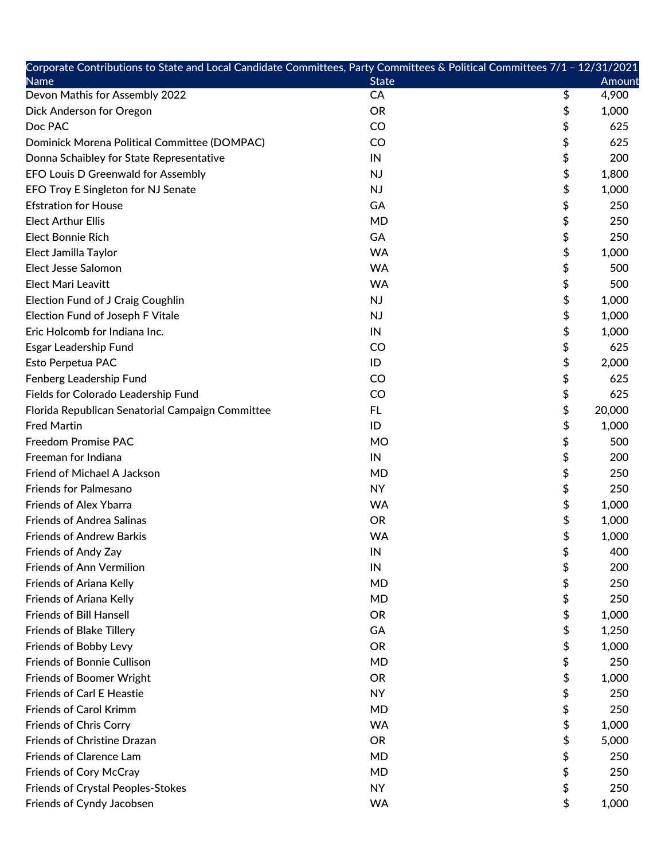| Corporate Contributions to State and Local Candidate Committees, Party Committees & Political Committees 7/1 - 12/31/2021 |              |              |
|---------------------------------------------------------------------------------------------------------------------------|--------------|--------------|
| <b>Name</b>                                                                                                               | <b>State</b> | Amount       |
| Devon Mathis for Assembly 2022                                                                                            | CA           | \$<br>4,900  |
| Dick Anderson for Oregon                                                                                                  | <b>OR</b>    | \$<br>1,000  |
| Doc PAC                                                                                                                   | <b>CO</b>    | \$<br>625    |
| Dominick Morena Political Committee (DOMPAC)                                                                              | CO           | \$<br>625    |
| Donna Schaibley for State Representative                                                                                  | IN           | \$<br>200    |
| EFO Louis D Greenwald for Assembly                                                                                        | <b>NJ</b>    | \$<br>1,800  |
| EFO Troy E Singleton for NJ Senate                                                                                        | <b>NJ</b>    | \$<br>1,000  |
| <b>Efstration for House</b>                                                                                               | GA           | \$<br>250    |
| <b>Elect Arthur Ellis</b>                                                                                                 | <b>MD</b>    | \$<br>250    |
| <b>Elect Bonnie Rich</b>                                                                                                  | GA           | \$<br>250    |
| Elect Jamilla Taylor                                                                                                      | <b>WA</b>    | \$<br>1,000  |
| Elect Jesse Salomon                                                                                                       | <b>WA</b>    | \$<br>500    |
| <b>Elect Mari Leavitt</b>                                                                                                 | <b>WA</b>    | \$<br>500    |
| <b>Election Fund of J Craig Coughlin</b>                                                                                  | <b>NJ</b>    | \$<br>1,000  |
| Election Fund of Joseph F Vitale                                                                                          | <b>NJ</b>    | \$<br>1,000  |
| Eric Holcomb for Indiana Inc.                                                                                             | IN           | \$<br>1,000  |
| Esgar Leadership Fund                                                                                                     | <b>CO</b>    | \$<br>625    |
| Esto Perpetua PAC                                                                                                         | ID           | \$<br>2,000  |
| Fenberg Leadership Fund                                                                                                   | <b>CO</b>    | \$<br>625    |
| Fields for Colorado Leadership Fund                                                                                       | <b>CO</b>    | \$<br>625    |
| Florida Republican Senatorial Campaign Committee                                                                          | FL.          | \$<br>20,000 |
| <b>Fred Martin</b>                                                                                                        | ID           | \$<br>1,000  |
| <b>Freedom Promise PAC</b>                                                                                                | <b>MO</b>    | \$<br>500    |
| Freeman for Indiana                                                                                                       | IN           | \$<br>200    |
| Friend of Michael A Jackson                                                                                               | <b>MD</b>    | \$<br>250    |
| <b>Friends for Palmesano</b>                                                                                              | <b>NY</b>    | \$<br>250    |
| <b>Friends of Alex Ybarra</b>                                                                                             | <b>WA</b>    | \$<br>1,000  |
| <b>Friends of Andrea Salinas</b>                                                                                          | <b>OR</b>    | \$<br>1,000  |
| <b>Friends of Andrew Barkis</b>                                                                                           | <b>WA</b>    | \$<br>1,000  |
| Friends of Andy Zay                                                                                                       | IN           | \$<br>400    |
| <b>Friends of Ann Vermilion</b>                                                                                           | IN           | \$<br>200    |
| <b>Friends of Ariana Kelly</b>                                                                                            | <b>MD</b>    | \$<br>250    |
| Friends of Ariana Kelly                                                                                                   | <b>MD</b>    | \$<br>250    |
| <b>Friends of Bill Hansell</b>                                                                                            | <b>OR</b>    | \$<br>1,000  |
| <b>Friends of Blake Tillery</b>                                                                                           | GA           | \$<br>1,250  |
| Friends of Bobby Levy                                                                                                     | <b>OR</b>    | \$<br>1,000  |
| <b>Friends of Bonnie Cullison</b>                                                                                         | <b>MD</b>    | \$<br>250    |
| <b>Friends of Boomer Wright</b>                                                                                           | <b>OR</b>    | \$<br>1,000  |
| <b>Friends of Carl E Heastie</b>                                                                                          | <b>NY</b>    | \$<br>250    |
| <b>Friends of Carol Krimm</b>                                                                                             | <b>MD</b>    | \$<br>250    |
| <b>Friends of Chris Corry</b>                                                                                             | <b>WA</b>    | \$<br>1,000  |
| Friends of Christine Drazan                                                                                               | <b>OR</b>    | \$<br>5,000  |
| <b>Friends of Clarence Lam</b>                                                                                            | <b>MD</b>    | \$<br>250    |
| Friends of Cory McCray                                                                                                    | MD           | \$<br>250    |
| <b>Friends of Crystal Peoples-Stokes</b>                                                                                  | <b>NY</b>    | \$<br>250    |
| Friends of Cyndy Jacobsen                                                                                                 | <b>WA</b>    | \$<br>1,000  |
|                                                                                                                           |              |              |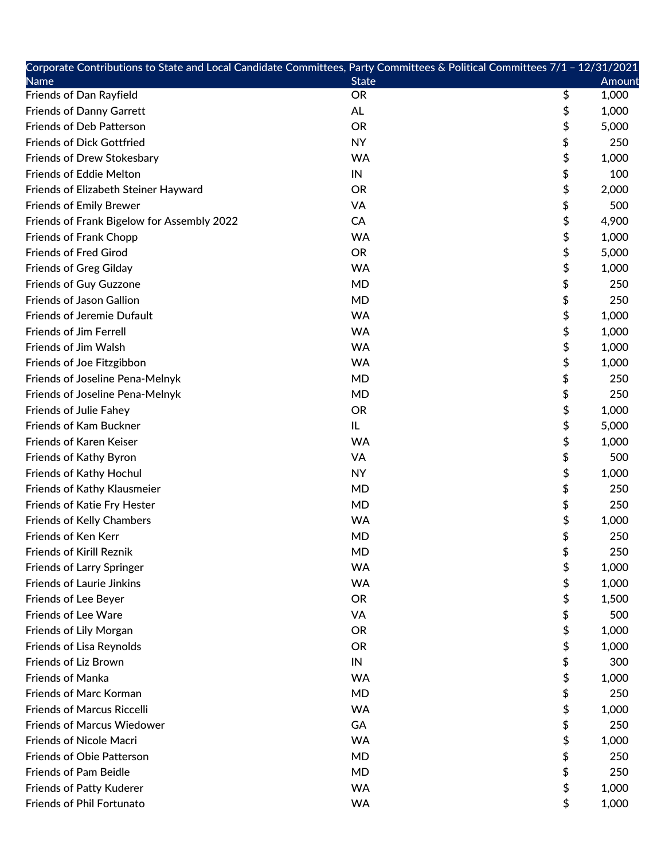| Corporate Contributions to State and Local Candidate Committees, Party Committees & Political Committees 7/1 - 12/31/2021 |              |               |
|---------------------------------------------------------------------------------------------------------------------------|--------------|---------------|
| <b>Name</b>                                                                                                               | <b>State</b> | <b>Amount</b> |
| <b>Friends of Dan Rayfield</b>                                                                                            | <b>OR</b>    | \$<br>1,000   |
| <b>Friends of Danny Garrett</b>                                                                                           | AL           | \$<br>1,000   |
| <b>Friends of Deb Patterson</b>                                                                                           | <b>OR</b>    | \$<br>5,000   |
| <b>Friends of Dick Gottfried</b>                                                                                          | <b>NY</b>    | \$<br>250     |
| Friends of Drew Stokesbary                                                                                                | <b>WA</b>    | \$<br>1,000   |
| <b>Friends of Eddie Melton</b>                                                                                            | IN           | \$<br>100     |
| Friends of Elizabeth Steiner Hayward                                                                                      | <b>OR</b>    | \$<br>2,000   |
| <b>Friends of Emily Brewer</b>                                                                                            | VA           | \$<br>500     |
| Friends of Frank Bigelow for Assembly 2022                                                                                | CA           | \$<br>4,900   |
| <b>Friends of Frank Chopp</b>                                                                                             | <b>WA</b>    | \$<br>1,000   |
| <b>Friends of Fred Girod</b>                                                                                              | <b>OR</b>    | \$<br>5,000   |
| <b>Friends of Greg Gilday</b>                                                                                             | <b>WA</b>    | \$<br>1,000   |
| <b>Friends of Guy Guzzone</b>                                                                                             | <b>MD</b>    | \$<br>250     |
| <b>Friends of Jason Gallion</b>                                                                                           | <b>MD</b>    | \$<br>250     |
| <b>Friends of Jeremie Dufault</b>                                                                                         | <b>WA</b>    | \$<br>1,000   |
| <b>Friends of Jim Ferrell</b>                                                                                             | <b>WA</b>    | \$<br>1,000   |
| Friends of Jim Walsh                                                                                                      | <b>WA</b>    | \$<br>1,000   |
| Friends of Joe Fitzgibbon                                                                                                 | <b>WA</b>    | \$<br>1,000   |
| Friends of Joseline Pena-Melnyk                                                                                           | <b>MD</b>    | \$<br>250     |
| Friends of Joseline Pena-Melnyk                                                                                           | <b>MD</b>    | \$<br>250     |
| Friends of Julie Fahey                                                                                                    | <b>OR</b>    | \$<br>1,000   |
| <b>Friends of Kam Buckner</b>                                                                                             | IL           | \$<br>5,000   |
| <b>Friends of Karen Keiser</b>                                                                                            | <b>WA</b>    | \$<br>1,000   |
| Friends of Kathy Byron                                                                                                    | VA           | \$<br>500     |
| Friends of Kathy Hochul                                                                                                   | <b>NY</b>    | \$<br>1,000   |
| Friends of Kathy Klausmeier                                                                                               | <b>MD</b>    | \$<br>250     |
| Friends of Katie Fry Hester                                                                                               | <b>MD</b>    | \$<br>250     |
| <b>Friends of Kelly Chambers</b>                                                                                          | <b>WA</b>    | \$<br>1,000   |
| <b>Friends of Ken Kerr</b>                                                                                                | <b>MD</b>    | \$<br>250     |
| <b>Friends of Kirill Reznik</b>                                                                                           | <b>MD</b>    | \$<br>250     |
| <b>Friends of Larry Springer</b>                                                                                          | <b>WA</b>    | \$<br>1,000   |
| <b>Friends of Laurie Jinkins</b>                                                                                          | <b>WA</b>    | \$<br>1,000   |
| Friends of Lee Beyer                                                                                                      | <b>OR</b>    | \$<br>1,500   |
| <b>Friends of Lee Ware</b>                                                                                                | VA           | \$<br>500     |
| <b>Friends of Lily Morgan</b>                                                                                             | <b>OR</b>    | \$<br>1,000   |
| Friends of Lisa Reynolds                                                                                                  | <b>OR</b>    | \$<br>1,000   |
| Friends of Liz Brown                                                                                                      | IN           | \$<br>300     |
| <b>Friends of Manka</b>                                                                                                   | <b>WA</b>    | \$<br>1,000   |
| <b>Friends of Marc Korman</b>                                                                                             | <b>MD</b>    | \$<br>250     |
| <b>Friends of Marcus Riccelli</b>                                                                                         | <b>WA</b>    | \$<br>1,000   |
| <b>Friends of Marcus Wiedower</b>                                                                                         | GA           | \$<br>250     |
| <b>Friends of Nicole Macri</b>                                                                                            | <b>WA</b>    | \$<br>1,000   |
| <b>Friends of Obie Patterson</b>                                                                                          | MD           | \$<br>250     |
| <b>Friends of Pam Beidle</b>                                                                                              | <b>MD</b>    | \$<br>250     |
| <b>Friends of Patty Kuderer</b>                                                                                           | <b>WA</b>    | \$<br>1,000   |
| Friends of Phil Fortunato                                                                                                 | WA           | \$<br>1,000   |
|                                                                                                                           |              |               |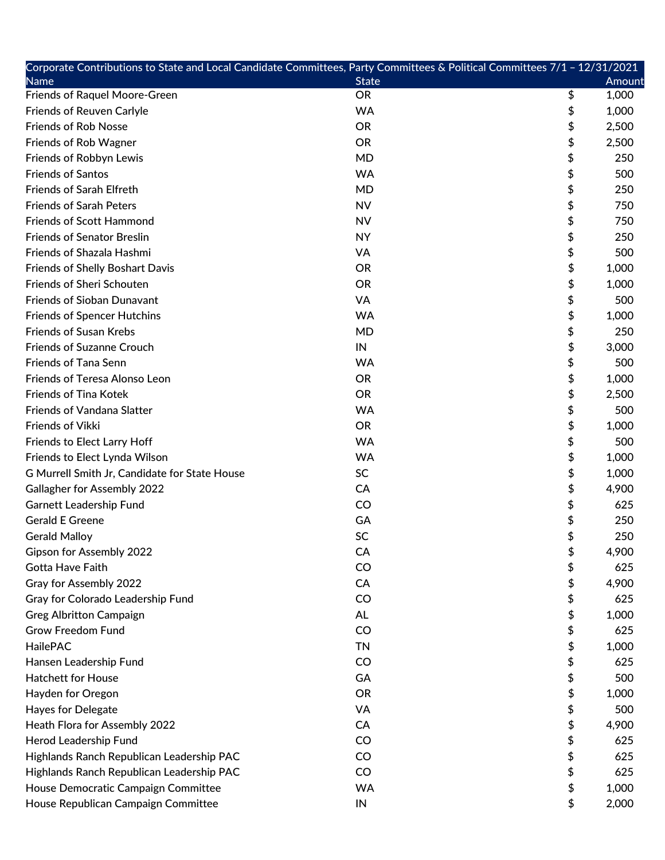| Corporate Contributions to State and Local Candidate Committees, Party Committees & Political Committees 7/1 - 12/31/2021 |               |             |
|---------------------------------------------------------------------------------------------------------------------------|---------------|-------------|
| <b>Name</b>                                                                                                               | <b>State</b>  | Amount      |
| <b>Friends of Raquel Moore-Green</b>                                                                                      | <b>OR</b>     | \$<br>1,000 |
| <b>Friends of Reuven Carlyle</b>                                                                                          | <b>WA</b>     | \$<br>1,000 |
| <b>Friends of Rob Nosse</b>                                                                                               | <b>OR</b>     | \$<br>2,500 |
| Friends of Rob Wagner                                                                                                     | <b>OR</b>     | \$<br>2,500 |
| Friends of Robbyn Lewis                                                                                                   | <b>MD</b>     | \$<br>250   |
| <b>Friends of Santos</b>                                                                                                  | <b>WA</b>     | \$<br>500   |
| <b>Friends of Sarah Elfreth</b>                                                                                           | <b>MD</b>     | \$<br>250   |
| <b>Friends of Sarah Peters</b>                                                                                            | <b>NV</b>     | \$<br>750   |
| <b>Friends of Scott Hammond</b>                                                                                           | <b>NV</b>     | \$<br>750   |
| <b>Friends of Senator Breslin</b>                                                                                         | <b>NY</b>     | \$<br>250   |
| Friends of Shazala Hashmi                                                                                                 | VA            | \$<br>500   |
| <b>Friends of Shelly Boshart Davis</b>                                                                                    | <b>OR</b>     | \$<br>1,000 |
| Friends of Sheri Schouten                                                                                                 | <b>OR</b>     | \$<br>1,000 |
| <b>Friends of Sioban Dunavant</b>                                                                                         | VA            | \$<br>500   |
| <b>Friends of Spencer Hutchins</b>                                                                                        | <b>WA</b>     | \$<br>1,000 |
| <b>Friends of Susan Krebs</b>                                                                                             | <b>MD</b>     | \$<br>250   |
| <b>Friends of Suzanne Crouch</b>                                                                                          | IN            | \$<br>3,000 |
| <b>Friends of Tana Senn</b>                                                                                               | <b>WA</b>     | \$<br>500   |
| Friends of Teresa Alonso Leon                                                                                             | <b>OR</b>     | \$<br>1,000 |
| Friends of Tina Kotek                                                                                                     | <b>OR</b>     | \$<br>2,500 |
| <b>Friends of Vandana Slatter</b>                                                                                         | <b>WA</b>     | \$<br>500   |
| Friends of Vikki                                                                                                          | <b>OR</b>     | \$<br>1,000 |
| Friends to Elect Larry Hoff                                                                                               | <b>WA</b>     | \$<br>500   |
| Friends to Elect Lynda Wilson                                                                                             | <b>WA</b>     | \$<br>1,000 |
| G Murrell Smith Jr, Candidate for State House                                                                             | SC            | \$<br>1,000 |
| <b>Gallagher for Assembly 2022</b>                                                                                        | CA            | \$<br>4,900 |
| <b>Garnett Leadership Fund</b>                                                                                            | CO            | \$<br>625   |
| <b>Gerald E Greene</b>                                                                                                    | GA            | \$<br>250   |
| <b>Gerald Malloy</b>                                                                                                      | SC            | \$<br>250   |
| <b>Gipson for Assembly 2022</b>                                                                                           | CA            | \$<br>4,900 |
| Gotta Have Faith                                                                                                          | CO            | \$<br>625   |
| Gray for Assembly 2022                                                                                                    | CA            | \$<br>4,900 |
| Gray for Colorado Leadership Fund                                                                                         | CO            | \$<br>625   |
| <b>Greg Albritton Campaign</b>                                                                                            | AL            | \$<br>1,000 |
| <b>Grow Freedom Fund</b>                                                                                                  | CO            | \$<br>625   |
| HailePAC                                                                                                                  | <b>TN</b>     | \$<br>1,000 |
| Hansen Leadership Fund                                                                                                    | CO            | \$<br>625   |
| <b>Hatchett for House</b>                                                                                                 | GA            | \$<br>500   |
| Hayden for Oregon                                                                                                         | <b>OR</b>     | \$<br>1,000 |
| Hayes for Delegate                                                                                                        | VA            | \$<br>500   |
| Heath Flora for Assembly 2022                                                                                             | CA            | \$<br>4,900 |
| Herod Leadership Fund                                                                                                     | CO            | \$<br>625   |
| Highlands Ranch Republican Leadership PAC                                                                                 | $\mathsf{CO}$ | \$<br>625   |
| Highlands Ranch Republican Leadership PAC                                                                                 | CO            | \$<br>625   |
| House Democratic Campaign Committee                                                                                       | <b>WA</b>     | \$<br>1,000 |
| House Republican Campaign Committee                                                                                       | IN            | \$<br>2,000 |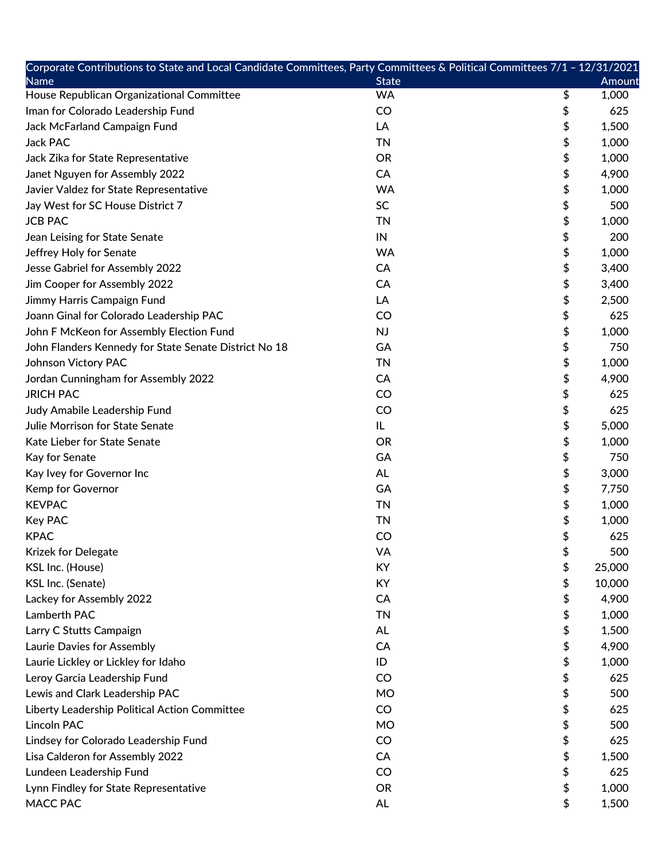| Corporate Contributions to State and Local Candidate Committees, Party Committees & Political Committees 7/1 - 12/31/2021 |              |              |
|---------------------------------------------------------------------------------------------------------------------------|--------------|--------------|
| <b>Name</b>                                                                                                               | <b>State</b> | Amount       |
| House Republican Organizational Committee                                                                                 | <b>WA</b>    | \$<br>1,000  |
| Iman for Colorado Leadership Fund                                                                                         | CO           | \$<br>625    |
| Jack McFarland Campaign Fund                                                                                              | LA           | \$<br>1,500  |
| <b>Jack PAC</b>                                                                                                           | <b>TN</b>    | \$<br>1,000  |
| Jack Zika for State Representative                                                                                        | <b>OR</b>    | \$<br>1,000  |
| Janet Nguyen for Assembly 2022                                                                                            | CA           | \$<br>4,900  |
| Javier Valdez for State Representative                                                                                    | <b>WA</b>    | \$<br>1,000  |
| Jay West for SC House District 7                                                                                          | <b>SC</b>    | \$<br>500    |
| <b>JCB PAC</b>                                                                                                            | <b>TN</b>    | \$<br>1,000  |
| Jean Leising for State Senate                                                                                             | IN           | \$<br>200    |
| Jeffrey Holy for Senate                                                                                                   | <b>WA</b>    | \$<br>1,000  |
| Jesse Gabriel for Assembly 2022                                                                                           | CA           | \$<br>3,400  |
| Jim Cooper for Assembly 2022                                                                                              | CA           | \$<br>3,400  |
| Jimmy Harris Campaign Fund                                                                                                | LA           | \$<br>2,500  |
| Joann Ginal for Colorado Leadership PAC                                                                                   | CO           | \$<br>625    |
| John F McKeon for Assembly Election Fund                                                                                  | <b>NJ</b>    | \$<br>1,000  |
| John Flanders Kennedy for State Senate District No 18                                                                     | GA           | \$<br>750    |
| Johnson Victory PAC                                                                                                       | <b>TN</b>    | \$<br>1,000  |
| Jordan Cunningham for Assembly 2022                                                                                       | CA           | \$<br>4,900  |
| <b>JRICH PAC</b>                                                                                                          | CO           | \$<br>625    |
| Judy Amabile Leadership Fund                                                                                              | CO           | \$<br>625    |
| Julie Morrison for State Senate                                                                                           | IL.          | \$<br>5,000  |
| Kate Lieber for State Senate                                                                                              | <b>OR</b>    | \$<br>1,000  |
| Kay for Senate                                                                                                            | GA           | \$<br>750    |
| Kay Ivey for Governor Inc                                                                                                 | AL           | \$<br>3,000  |
| Kemp for Governor                                                                                                         | GA           | \$<br>7,750  |
| <b>KEVPAC</b>                                                                                                             | <b>TN</b>    | \$<br>1,000  |
| <b>Key PAC</b>                                                                                                            | <b>TN</b>    | \$<br>1,000  |
| <b>KPAC</b>                                                                                                               | CO           | \$<br>625    |
| Krizek for Delegate                                                                                                       | VA           | \$<br>500    |
| KSL Inc. (House)                                                                                                          | KY           | \$<br>25,000 |
| KSL Inc. (Senate)                                                                                                         | KY           | \$<br>10,000 |
| Lackey for Assembly 2022                                                                                                  | CA           | \$<br>4,900  |
| Lamberth PAC                                                                                                              | <b>TN</b>    | \$<br>1,000  |
| Larry C Stutts Campaign                                                                                                   | AL           | \$<br>1,500  |
| Laurie Davies for Assembly                                                                                                | CA           | \$<br>4,900  |
| Laurie Lickley or Lickley for Idaho                                                                                       | ID           | \$<br>1,000  |
| Leroy Garcia Leadership Fund                                                                                              | CO           | \$<br>625    |
| Lewis and Clark Leadership PAC                                                                                            | <b>MO</b>    | \$<br>500    |
| Liberty Leadership Political Action Committee                                                                             | CO           | \$<br>625    |
| <b>Lincoln PAC</b>                                                                                                        | <b>MO</b>    | \$<br>500    |
| Lindsey for Colorado Leadership Fund                                                                                      | CO           | \$<br>625    |
| Lisa Calderon for Assembly 2022                                                                                           | CA           | \$<br>1,500  |
| Lundeen Leadership Fund                                                                                                   | CO           | \$<br>625    |
| Lynn Findley for State Representative                                                                                     | <b>OR</b>    | \$<br>1,000  |
| <b>MACC PAC</b>                                                                                                           | <b>AL</b>    | \$<br>1,500  |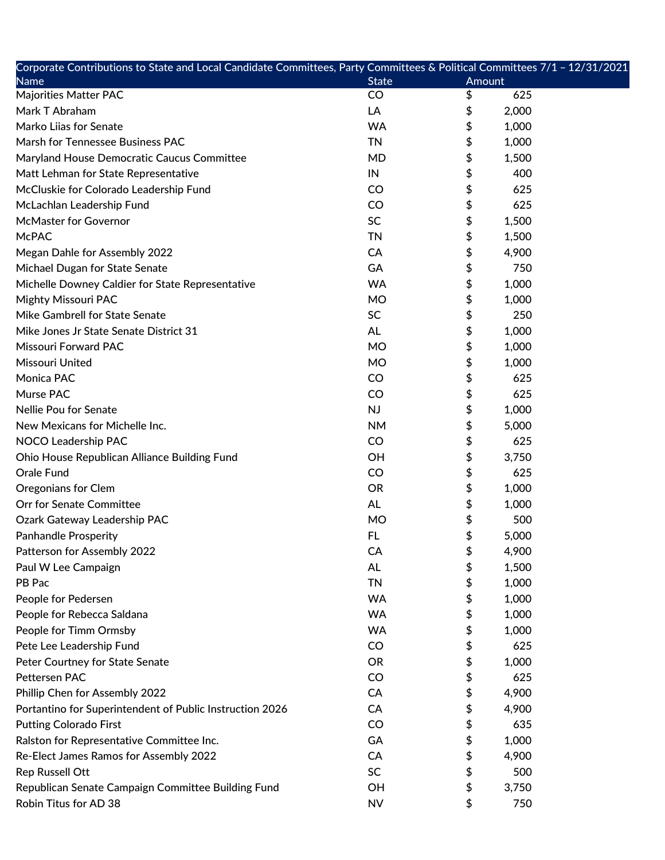| Corporate Contributions to State and Local Candidate Committees, Party Committees & Political Committees 7/1 – 12/31/2021 |              |             |  |
|---------------------------------------------------------------------------------------------------------------------------|--------------|-------------|--|
| <b>Name</b>                                                                                                               | <b>State</b> | Amount      |  |
| <b>Majorities Matter PAC</b>                                                                                              | CO           | 625<br>\$   |  |
| Mark T Abraham                                                                                                            | LA           | \$<br>2,000 |  |
| Marko Liias for Senate                                                                                                    | <b>WA</b>    | \$<br>1,000 |  |
| Marsh for Tennessee Business PAC                                                                                          | <b>TN</b>    | \$<br>1,000 |  |
| Maryland House Democratic Caucus Committee                                                                                | <b>MD</b>    | \$<br>1,500 |  |
| Matt Lehman for State Representative                                                                                      | IN           | \$<br>400   |  |
| McCluskie for Colorado Leadership Fund                                                                                    | CO           | \$<br>625   |  |
| McLachlan Leadership Fund                                                                                                 | CO           | \$<br>625   |  |
| <b>McMaster for Governor</b>                                                                                              | SC           | \$<br>1,500 |  |
| <b>McPAC</b>                                                                                                              | <b>TN</b>    | \$<br>1,500 |  |
| Megan Dahle for Assembly 2022                                                                                             | CA           | \$<br>4,900 |  |
| Michael Dugan for State Senate                                                                                            | GA           | \$<br>750   |  |
| Michelle Downey Caldier for State Representative                                                                          | <b>WA</b>    | \$<br>1,000 |  |
| <b>Mighty Missouri PAC</b>                                                                                                | <b>MO</b>    | \$<br>1,000 |  |
| Mike Gambrell for State Senate                                                                                            | SC           | \$<br>250   |  |
| Mike Jones Jr State Senate District 31                                                                                    | <b>AL</b>    | \$<br>1,000 |  |
| Missouri Forward PAC                                                                                                      | <b>MO</b>    | \$<br>1,000 |  |
| Missouri United                                                                                                           | <b>MO</b>    | \$<br>1,000 |  |
| Monica PAC                                                                                                                | CO           | 625         |  |
| Murse PAC                                                                                                                 | CO           | \$<br>625   |  |
| Nellie Pou for Senate                                                                                                     | NJ           | \$<br>1,000 |  |
| New Mexicans for Michelle Inc.                                                                                            | <b>NM</b>    | \$<br>5,000 |  |
| NOCO Leadership PAC                                                                                                       | CO           | \$<br>625   |  |
| Ohio House Republican Alliance Building Fund                                                                              | OH           | \$<br>3,750 |  |
| Orale Fund                                                                                                                | CO           | \$<br>625   |  |
| <b>Oregonians for Clem</b>                                                                                                | <b>OR</b>    | \$<br>1,000 |  |
| Orr for Senate Committee                                                                                                  | AL           | \$<br>1,000 |  |
| Ozark Gateway Leadership PAC                                                                                              | <b>MO</b>    | \$<br>500   |  |
| <b>Panhandle Prosperity</b>                                                                                               | <b>FL</b>    | \$<br>5,000 |  |
| Patterson for Assembly 2022                                                                                               | СA           | \$<br>4,900 |  |
| Paul W Lee Campaign                                                                                                       | <b>AL</b>    | \$<br>1,500 |  |
| PB Pac                                                                                                                    | <b>TN</b>    | \$<br>1,000 |  |
| People for Pedersen                                                                                                       | <b>WA</b>    | \$<br>1,000 |  |
| People for Rebecca Saldana                                                                                                | <b>WA</b>    | \$<br>1,000 |  |
| People for Timm Ormsby                                                                                                    | <b>WA</b>    | \$<br>1,000 |  |
| Pete Lee Leadership Fund                                                                                                  | CO           | 625<br>\$   |  |
| Peter Courtney for State Senate                                                                                           | <b>OR</b>    | \$<br>1,000 |  |
| Pettersen PAC                                                                                                             | CO           | 625<br>\$   |  |
| Phillip Chen for Assembly 2022                                                                                            | CA           | \$<br>4,900 |  |
| Portantino for Superintendent of Public Instruction 2026                                                                  | CA           | \$<br>4,900 |  |
| <b>Putting Colorado First</b>                                                                                             | CO           | 635<br>\$   |  |
| Ralston for Representative Committee Inc.                                                                                 | GA           | 1,000<br>\$ |  |
| Re-Elect James Ramos for Assembly 2022                                                                                    | CA           | 4,900       |  |
| <b>Rep Russell Ott</b>                                                                                                    | SC           | \$<br>500   |  |
| Republican Senate Campaign Committee Building Fund                                                                        | OH           | \$<br>3,750 |  |
| Robin Titus for AD 38                                                                                                     | <b>NV</b>    | \$<br>750   |  |
|                                                                                                                           |              |             |  |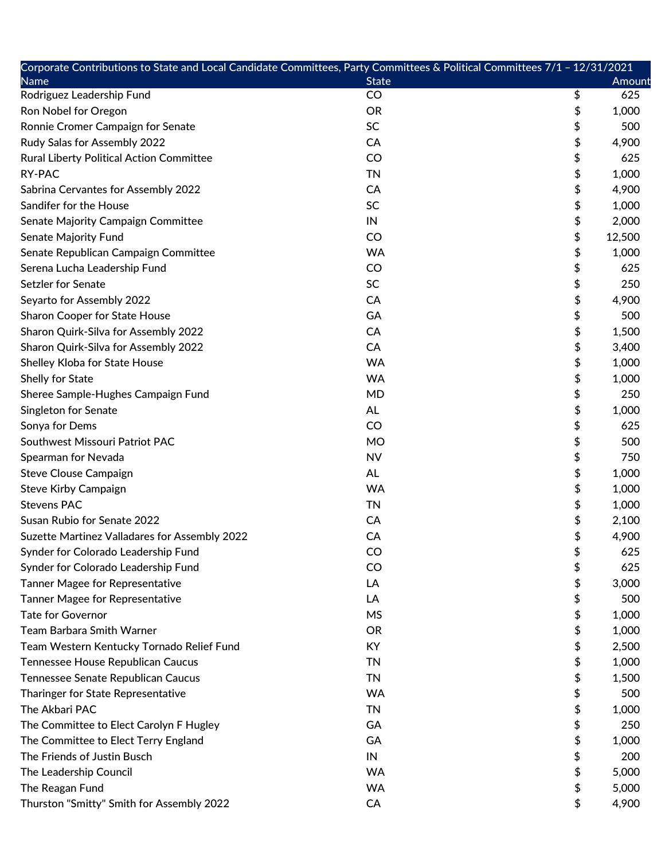| Corporate Contributions to State and Local Candidate Committees, Party Committees & Political Committees 7/1 - 12/31/2021 |              |              |
|---------------------------------------------------------------------------------------------------------------------------|--------------|--------------|
| Name                                                                                                                      | <b>State</b> | Amount       |
| Rodriguez Leadership Fund                                                                                                 | CO           | \$<br>625    |
| Ron Nobel for Oregon                                                                                                      | <b>OR</b>    | \$<br>1,000  |
| Ronnie Cromer Campaign for Senate                                                                                         | <b>SC</b>    | \$<br>500    |
| Rudy Salas for Assembly 2022                                                                                              | CA           | \$<br>4,900  |
| Rural Liberty Political Action Committee                                                                                  | CO           | \$<br>625    |
| <b>RY-PAC</b>                                                                                                             | <b>TN</b>    | \$<br>1,000  |
| Sabrina Cervantes for Assembly 2022                                                                                       | CA           | \$<br>4,900  |
| Sandifer for the House                                                                                                    | SC           | \$<br>1,000  |
| Senate Majority Campaign Committee                                                                                        | IN           | \$<br>2,000  |
| Senate Majority Fund                                                                                                      | CO           | \$<br>12,500 |
| Senate Republican Campaign Committee                                                                                      | <b>WA</b>    | \$<br>1,000  |
| Serena Lucha Leadership Fund                                                                                              | CO           | \$<br>625    |
| Setzler for Senate                                                                                                        | <b>SC</b>    | \$<br>250    |
| Seyarto for Assembly 2022                                                                                                 | CA           | \$<br>4,900  |
| <b>Sharon Cooper for State House</b>                                                                                      | GA           | \$<br>500    |
| Sharon Quirk-Silva for Assembly 2022                                                                                      | CA           | \$<br>1,500  |
| Sharon Quirk-Silva for Assembly 2022                                                                                      | CA           | \$<br>3,400  |
| Shelley Kloba for State House                                                                                             | <b>WA</b>    | \$<br>1,000  |
| Shelly for State                                                                                                          | <b>WA</b>    | \$<br>1,000  |
| Sheree Sample-Hughes Campaign Fund                                                                                        | <b>MD</b>    | \$<br>250    |
| Singleton for Senate                                                                                                      | <b>AL</b>    | \$<br>1,000  |
| Sonya for Dems                                                                                                            | CO           | \$<br>625    |
| Southwest Missouri Patriot PAC                                                                                            | <b>MO</b>    | \$<br>500    |
| Spearman for Nevada                                                                                                       | <b>NV</b>    | \$<br>750    |
| <b>Steve Clouse Campaign</b>                                                                                              | <b>AL</b>    | \$<br>1,000  |
| <b>Steve Kirby Campaign</b>                                                                                               | <b>WA</b>    | \$<br>1,000  |
| <b>Stevens PAC</b>                                                                                                        | <b>TN</b>    | \$<br>1,000  |
| Susan Rubio for Senate 2022                                                                                               | CA           | \$<br>2,100  |
| Suzette Martinez Valladares for Assembly 2022                                                                             | CA           | \$<br>4,900  |
| Synder for Colorado Leadership Fund                                                                                       | CO           | \$<br>625    |
| Synder for Colorado Leadership Fund                                                                                       | CO           | \$<br>625    |
| <b>Tanner Magee for Representative</b>                                                                                    | LA           | \$<br>3,000  |
| <b>Tanner Magee for Representative</b>                                                                                    | LA           | \$<br>500    |
| <b>Tate for Governor</b>                                                                                                  | <b>MS</b>    | \$<br>1,000  |
| Team Barbara Smith Warner                                                                                                 | <b>OR</b>    | \$<br>1,000  |
| Team Western Kentucky Tornado Relief Fund                                                                                 | <b>KY</b>    | \$<br>2,500  |
| Tennessee House Republican Caucus                                                                                         | <b>TN</b>    | \$<br>1,000  |
| Tennessee Senate Republican Caucus                                                                                        | <b>TN</b>    | \$<br>1,500  |
| Tharinger for State Representative                                                                                        | <b>WA</b>    | \$<br>500    |
| The Akbari PAC                                                                                                            | <b>TN</b>    | \$<br>1,000  |
| The Committee to Elect Carolyn F Hugley                                                                                   | GA           | \$<br>250    |
| The Committee to Elect Terry England                                                                                      | GA           | \$<br>1,000  |
| The Friends of Justin Busch                                                                                               | IN           | \$<br>200    |
| The Leadership Council                                                                                                    | <b>WA</b>    | \$<br>5,000  |
| The Reagan Fund                                                                                                           | <b>WA</b>    | \$<br>5,000  |
| Thurston "Smitty" Smith for Assembly 2022                                                                                 | CA           | \$<br>4,900  |